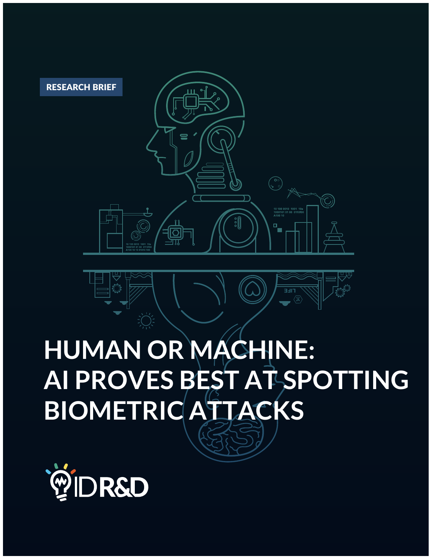

# **HUMAN OR MACHINE: AI PROVES BEST AT SPOTTING BIOMETRIC ATTACKS**





RESEARCH BRIEF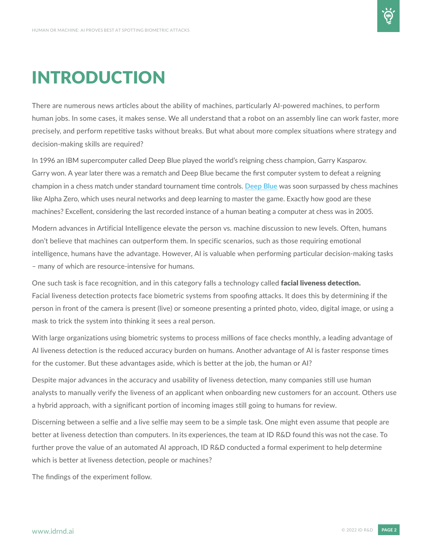

### INTRODUCTION

There are numerous news articles about the ability of machines, particularly AI-powered machines, to perform human jobs. In some cases, it makes sense. We all understand that a robot on an assembly line can work faster, more precisely, and perform repetitive tasks without breaks. But what about more complex situations where strategy and decision-making skills are required?

In 1996 an IBM supercomputer called Deep Blue played the world's reigning chess champion, Garry Kasparov. Garry won. A year later there was a rematch and Deep Blue became the first computer system to defeat a reigning champion in a chess match under standard tournament time controls. **[Deep](https://www.ibm.com/ibm/history/ibm100/us/en/icons/deepblue/) Blue** was soon surpassed by chess machines like Alpha Zero, which uses neural networks and deep learning to master the game. Exactly how good are these machines? Excellent, considering the last recorded instance of a human beating a computer at chess was in 2005.

Modern advances in Artificial Intelligence elevate the person vs. machine discussion to new levels. Often, humans don't believe that machines can outperform them. In specific scenarios, such as those requiring emotional intelligence, humans have the advantage. However, AI is valuable when performing particular decision-making tasks – many of which are resource-intensive for humans.

One such task is face recognition, and in this category falls a technology called facial liveness detection. Facial liveness detection protects face biometric systems from spoofing attacks. It does this by determining if the person in front of the camera is present (live) or someone presenting a printed photo, video, digital image, or using a mask to trick the system into thinking it sees a real person.

With large organizations using biometric systems to process millions of face checks monthly, a leading advantage of AI liveness detection is the reduced accuracy burden on humans. Another advantage of AI is faster response times for the customer. But these advantages aside, which is better at the job, the human or AI?

Despite major advances in the accuracy and usability of liveness detection, many companies still use human analysts to manually verify the liveness of an applicant when onboarding new customers for an account. Others use a hybrid approach, with a significant portion of incoming images still going to humans for review.

Discerning between a selfie and a live selfie may seem to be a simple task. One might even assume that people are better at liveness detection than computers. In its experiences, the team at ID R&D found this was not the case. To further prove the value of an automated AI approach, ID R&D conducted a formal experiment to help determine which is better at liveness detection, people or machines?

The findings of the experiment follow.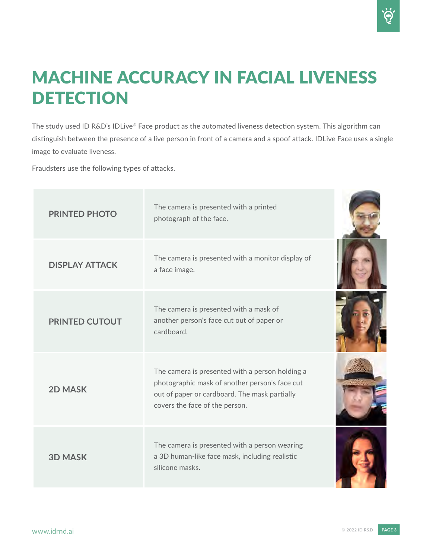### MACHINE ACCURACY IN FACIAL LIVENESS **DETECTION**

The study used ID R&D's IDLive® Face product as the automated liveness detection system. This algorithm can distinguish between the presence of a live person in front of a camera and a spoof attack. IDLive Face uses a single image to evaluate liveness.

Fraudsters use the following types of attacks.

| <b>PRINTED PHOTO</b>  | The camera is presented with a printed<br>photograph of the face.                                                                                                                    |
|-----------------------|--------------------------------------------------------------------------------------------------------------------------------------------------------------------------------------|
| <b>DISPLAY ATTACK</b> | The camera is presented with a monitor display of<br>a face image.                                                                                                                   |
| <b>PRINTED CUTOUT</b> | The camera is presented with a mask of<br>another person's face cut out of paper or<br>cardboard.                                                                                    |
| <b>2D MASK</b>        | The camera is presented with a person holding a<br>photographic mask of another person's face cut<br>out of paper or cardboard. The mask partially<br>covers the face of the person. |
| <b>3D MASK</b>        | The camera is presented with a person wearing<br>a 3D human-like face mask, including realistic<br>silicone masks.                                                                   |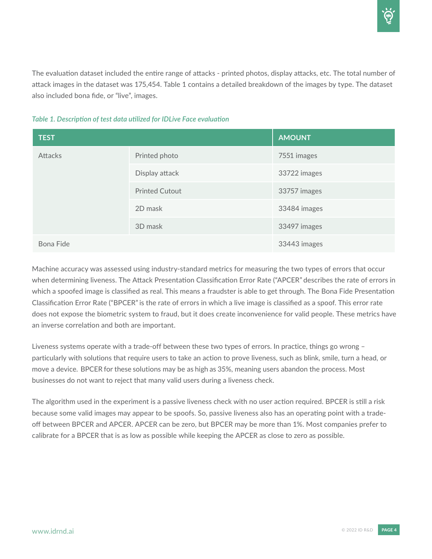The evaluation dataset included the entire range of attacks - printed photos, display attacks, etc. The total number of attack images in the dataset was 175,454. Table 1 contains a detailed breakdown of the images by type. The dataset also included bona fide, or "live", images.

| Table 1. Description of test data utilized for IDLive Face evaluation |  |  |
|-----------------------------------------------------------------------|--|--|
|                                                                       |  |  |

| <b>TEST</b>    |                       | <b>AMOUNT</b> |
|----------------|-----------------------|---------------|
| <b>Attacks</b> | Printed photo         | 7551 images   |
|                | Display attack        | 33722 images  |
|                | <b>Printed Cutout</b> | 33757 images  |
|                | 2D mask               | 33484 images  |
|                | 3D mask               | 33497 images  |
| Bona Fide      |                       | 33443 images  |

Machine accuracy was assessed using industry-standard metrics for measuring the two types of errors that occur when determining liveness. The Attack Presentation Classification Error Rate ("APCER" describes the rate of errors in which a spoofed image is classified as real. This means a fraudster is able to get through. The Bona Fide Presentation Classification Error Rate ("BPCER" is the rate of errors in which a live image is classified as a spoof. This error rate does not expose the biometric system to fraud, but it does create inconvenience for valid people. These metrics have an inverse correlation and both are important.

Liveness systems operate with a trade-off between these two types of errors. In practice, things go wrong – particularly with solutions that require users to take an action to prove liveness, such as blink, smile, turn a head, or move a device. BPCER for these solutions may be as high as 35%, meaning users abandon the process. Most businesses do not want to reject that many valid users during a liveness check.

The algorithm used in the experiment is a passive liveness check with no user action required. BPCER is still a risk because some valid images may appear to be spoofs. So, passive liveness also has an operating point with a tradeoff between BPCER and APCER. APCER can be zero, but BPCER may be more than 1%. Most companies prefer to calibrate for a BPCER that is as low as possible while keeping the APCER as close to zero as possible.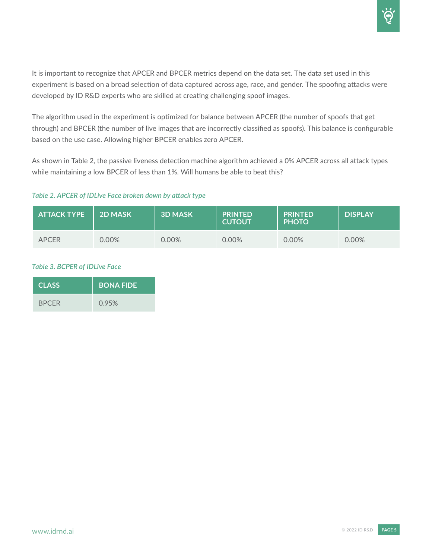It is important to recognize that APCER and BPCER metrics depend on the data set. The data set used in this experiment is based on a broad selection of data captured across age, race, and gender. The spoofing attacks were developed by ID R&D experts who are skilled at creating challenging spoof images.

The algorithm used in the experiment is optimized for balance between APCER (the number of spoofs that get through) and BPCER (the number of live images that are incorrectly classified as spoofs). This balance is configurable based on the use case. Allowing higher BPCER enables zero APCER.

As shown in Table 2, the passive liveness detection machine algorithm achieved a 0% APCER across all attack types while maintaining a low BPCER of less than 1%. Will humans be able to beat this?

### *Table 2. APCER of IDLive Face broken down by attack type*

| <b>ATTACK TYPE</b> | <b>2D MASK</b> | <b>3D MASK</b> | <b>PRINTED</b><br><b>CUTOUT</b> | <b>PRINTED</b><br><b>PHOTO</b> | <b>DISPLAY</b> |
|--------------------|----------------|----------------|---------------------------------|--------------------------------|----------------|
| <b>APCER</b>       | $0.00\%$       | 0.00%          | $0.00\%$                        | 0.00%                          | 0.00%          |

### *Table 3. BCPER of IDLive Face*

| <b>CLASS</b> | <b>BONA FIDE</b> |
|--------------|------------------|
| <b>BPCER</b> | 0.95%            |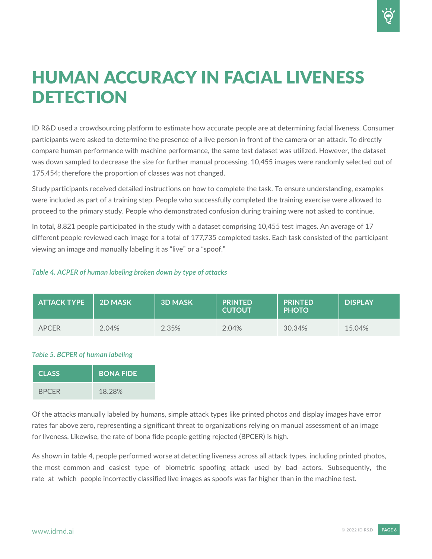### HUMAN ACCURACY IN FACIAL LIVENESS **DETECTION**

ID R&D used a crowdsourcing platform to estimate how accurate people are at determining facial liveness. Consumer participants were asked to determine the presence of a live person in front of the camera or an attack. To directly compare human performance with machine performance, the same test dataset was utilized. However, the dataset was down sampled to decrease the size for further manual processing. 10,455 images were randomly selected out of 175,454; therefore the proportion of classes was not changed.

Study participants received detailed instructions on how to complete the task. To ensure understanding, examples were included as part of a training step. People who successfully completed the training exercise were allowed to proceed to the primary study. People who demonstrated confusion during training were not asked to continue.

In total, 8,821 people participated in the study with a dataset comprising 10,455 test images. An average of 17 different people reviewed each image for a total of 177,735 completed tasks. Each task consisted of the participant viewing an image and manually labeling it as "live" or a "spoof."

### *Table 4. ACPER of human labeling broken down by type of attacks*

| <b>ATTACK TYPE</b> | <b>2D MASK</b> | <b>3D MASK</b> | <b>PRINTED</b><br><b>CUTOUT</b> | <b>PRINTED</b><br><b>PHOTO</b> | <b>DISPLAY</b> |
|--------------------|----------------|----------------|---------------------------------|--------------------------------|----------------|
| <b>APCER</b>       | 2.04%          | 2.35%          | 2.04%                           | 30.34%                         | 15.04%         |

#### *Table 5. BCPER of human labeling*

| <b>CLASS</b> | <b>BONA FIDE</b> |
|--------------|------------------|
| <b>BPCER</b> | 18.28%           |

Of the attacks manually labeled by humans, simple attack types like printed photos and display images have error rates far above zero, representing a significant threat to organizations relying on manual assessment of an image for liveness. Likewise, the rate of bona fide people getting rejected (BPCER) is high.

As shown in table 4, people performed worse at detecting liveness across all attack types, including printed photos, the most common and easiest type of biometric spoofing attack used by bad actors. Subsequently, the rate at which people incorrectly classified live images as spoofs was far higher than in the machine test.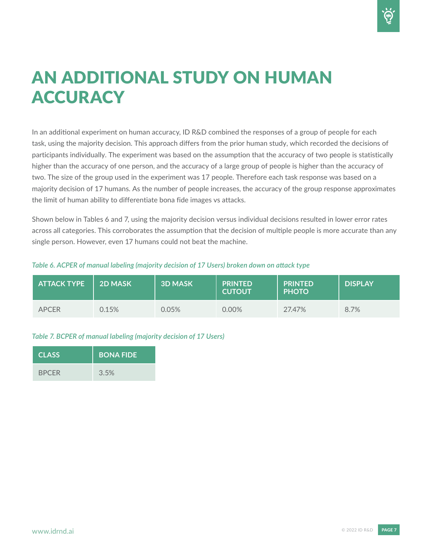### AN ADDITIONAL STUDY ON HUMAN **ACCURACY**

In an additional experiment on human accuracy, ID R&D combined the responses of a group of people for each task, using the majority decision. This approach differs from the prior human study, which recorded the decisions of participants individually. The experiment was based on the assumption that the accuracy of two people is statistically higher than the accuracy of one person, and the accuracy of a large group of people is higher than the accuracy of two. The size of the group used in the experiment was 17 people. Therefore each task response was based on a majority decision of 17 humans. As the number of people increases, the accuracy of the group response approximates the limit of human ability to differentiate bona fide images vs attacks.

Shown below in Tables 6 and 7, using the majority decision versus individual decisions resulted in lower error rates across all categories. This corroborates the assumption that the decision of multiple people is more accurate than any single person. However, even 17 humans could not beat the machine.

| <b>ATTACK TYPE</b> | 2D MASK | <b>3D MASK</b> | <b>PRINTED</b><br><b>CUTOUT</b> | <b>PRINTED</b><br><b>PHOTO</b> | <b>DISPLAY</b> |
|--------------------|---------|----------------|---------------------------------|--------------------------------|----------------|
| <b>APCER</b>       | 0.15%   | $0.05\%$       | 0.00%                           | 27.47%                         | 8.7%           |

#### *Table 6. ACPER of manual labeling (majority decision of 17 Users) broken down on attack type*

### *Table 7. BCPER of manual labeling (majority decision of 17 Users)*

| <b>CLASS</b> | <b>BONA FIDE</b> |
|--------------|------------------|
| <b>BPCER</b> | 3.5%             |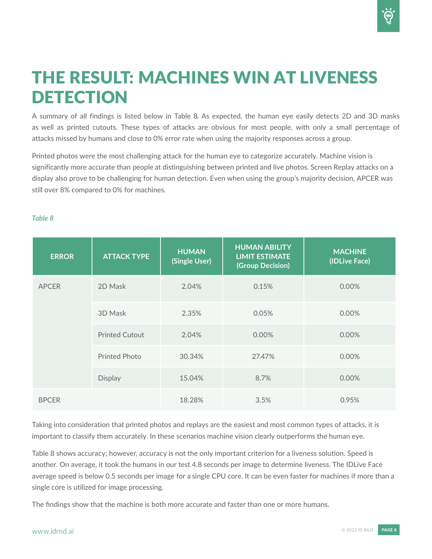### THE RESULT: MACHINES WIN AT LIVENESS **DETECTION**

A summary of all findings is listed below in Table 8. As expected, the human eye easily detects 2D and 3D masks as well as printed cutouts. These types of attacks are obvious for most people, with only a small percentage of attacks missed by humans and close to 0% error rate when using the majority responses across a group.

Printed photos were the most challenging attack for the human eye to categorize accurately. Machine vision is significantly more accurate than people at distinguishing between printed and live photos. Screen Replay attacks on a display also prove to be challenging for human detection. Even when using the group's majority decision, APCER was still over 8% compared to 0% for machines.

| <b>ERROR</b> | <b>ATTACK TYPE</b>    | <b>HUMAN</b><br>(Single User) | <b>HUMAN ABILITY</b><br><b>LIMIT ESTIMATE</b><br>(Group Decision) | <b>MACHINE</b><br>(IDLive Face) |
|--------------|-----------------------|-------------------------------|-------------------------------------------------------------------|---------------------------------|
| <b>APCER</b> | 2D Mask               | 2.04%                         | 0.15%                                                             | 0.00%                           |
|              | 3D Mask               | 2.35%                         | 0.05%                                                             | 0.00%                           |
|              | <b>Printed Cutout</b> | 2.04%                         | 0.00%                                                             | 0.00%                           |
|              | <b>Printed Photo</b>  | 30.34%                        | 27.47%                                                            | 0.00%                           |
|              | <b>Display</b>        | 15.04%                        | 8.7%                                                              | 0.00%                           |
| <b>BPCER</b> |                       | 18.28%                        | 3.5%                                                              | 0.95%                           |

#### *Table 8*

Taking into consideration that printed photos and replays are the easiest and most common types of attacks, it is important to classify them accurately. In these scenarios machine vision clearly outperforms the human eye.

Table 8 shows accuracy; however, accuracy is not the only important criterion for a liveness solution. Speed is another. On average, it took the humans in our test 4.8 seconds per image to determine liveness. The IDLive Face average speed is below 0.5 seconds per image for a single CPU core. It can be even faster for machines if more than a single core is utilized for image processing.

The findings show that the machine is both more accurate and faster than one or more humans.